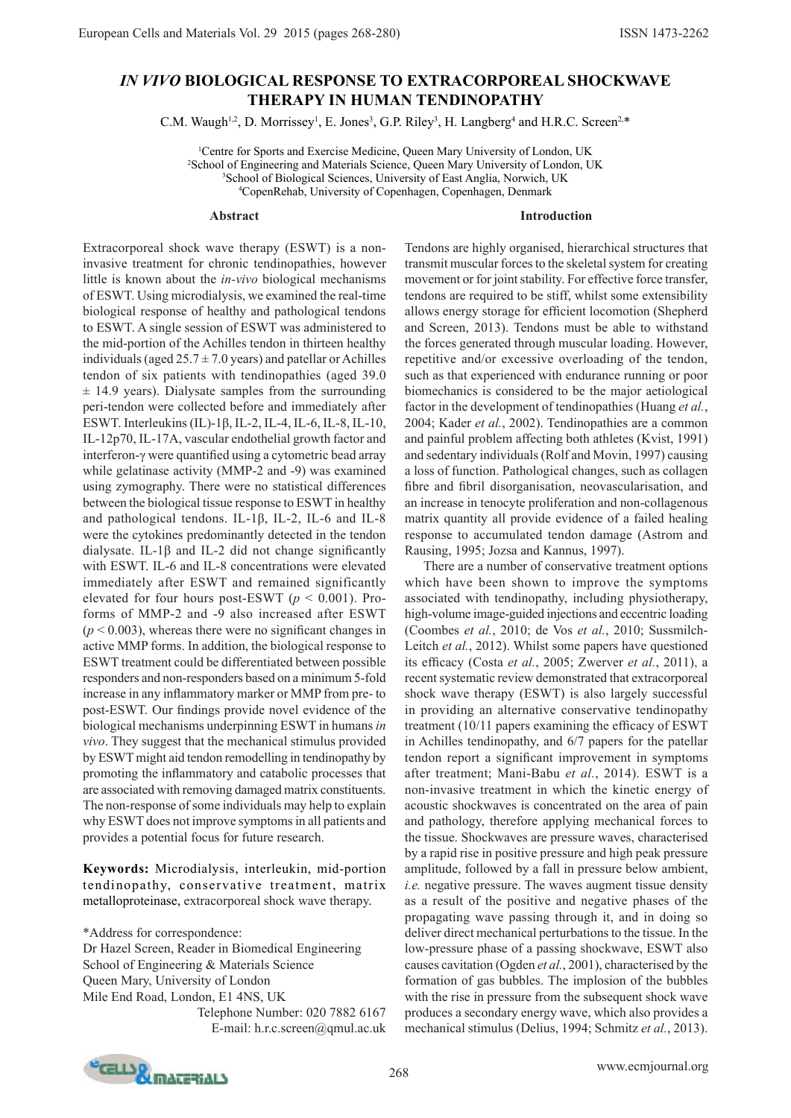# *IN VIVO* **BIOLOGICAL RESPONSE TO EXTRACORPOREAL SHOCKWAVE THERAPY IN HUMAN TENDINOPATHY**

C.M. Waugh<sup>1,2</sup>, D. Morrissey<sup>1</sup>, E. Jones<sup>3</sup>, G.P. Riley<sup>3</sup>, H. Langberg<sup>4</sup> and H.R.C. Screen<sup>2,\*</sup>

 Centre for Sports and Exercise Medicine, Queen Mary University of London, UK School of Engineering and Materials Science, Queen Mary University of London, UK School of Biological Sciences, University of East Anglia, Norwich, UK CopenRehab, University of Copenhagen, Copenhagen, Denmark

### **Abstract**

#### **Introduction**

Extracorporeal shock wave therapy (ESWT) is a noninvasive treatment for chronic tendinopathies, however little is known about the *in-vivo* biological mechanisms of ESWT. Using microdialysis, we examined the real-time biological response of healthy and pathological tendons to ESWT. A single session of ESWT was administered to the mid-portion of the Achilles tendon in thirteen healthy individuals (aged  $25.7 \pm 7.0$  years) and patellar or Achilles tendon of six patients with tendinopathies (aged 39.0  $\pm$  14.9 years). Dialysate samples from the surrounding peri-tendon were collected before and immediately after ESWT. Interleukins (IL)-1β, IL-2, IL-4, IL-6, IL-8, IL-10, IL-12p70, IL-17A, vascular endothelial growth factor and interferon-γ were quantified using a cytometric bead array while gelatinase activity (MMP-2 and -9) was examined using zymography. There were no statistical differences between the biological tissue response to ESWT in healthy and pathological tendons. IL-1β, IL-2, IL-6 and IL-8 were the cytokines predominantly detected in the tendon dialysate. IL-1 $\beta$  and IL-2 did not change significantly with ESWT. IL-6 and IL-8 concentrations were elevated immediately after ESWT and remained significantly elevated for four hours post-ESWT (*p* < 0.001). Proforms of MMP-2 and -9 also increased after ESWT  $(p < 0.003)$ , whereas there were no significant changes in active MMP forms. In addition, the biological response to ESWT treatment could be differentiated between possible responders and non-responders based on a minimum 5-fold increase in any inflammatory marker or MMP from pre- to post-ESWT. Our findings provide novel evidence of the biological mechanisms underpinning ESWT in humans *in vivo*. They suggest that the mechanical stimulus provided by ESWT might aid tendon remodelling in tendinopathy by promoting the inflammatory and catabolic processes that are associated with removing damaged matrix constituents. The non-response of some individuals may help to explain why ESWT does not improve symptoms in all patients and provides a potential focus for future research.

**Keywords:** Microdialysis, interleukin, mid-portion tendinopathy, conservative treatment, matrix metalloproteinase, extracorporeal shock wave therapy.

\*Address for correspondence: Dr Hazel Screen, Reader in Biomedical Engineering School of Engineering & Materials Science Queen Mary, University of London Mile End Road, London, E1 4NS, UK Telephone Number: 020 7882 6167 E-mail: h.r.c.screen@qmul.ac.uk Tendons are highly organised, hierarchical structures that transmit muscular forces to the skeletal system for creating movement or for joint stability. For effective force transfer, tendons are required to be stiff, whilst some extensibility allows energy storage for efficient locomotion (Shepherd and Screen, 2013). Tendons must be able to withstand the forces generated through muscular loading. However, repetitive and/or excessive overloading of the tendon, such as that experienced with endurance running or poor biomechanics is considered to be the major aetiological factor in the development of tendinopathies (Huang *et al.*, 2004; Kader *et al.*, 2002). Tendinopathies are a common and painful problem affecting both athletes (Kvist, 1991) and sedentary individuals (Rolf and Movin, 1997) causing a loss of function. Pathological changes, such as collagen fibre and fibril disorganisation, neovascularisation, and an increase in tenocyte proliferation and non-collagenous matrix quantity all provide evidence of a failed healing response to accumulated tendon damage (Astrom and Rausing, 1995; Jozsa and Kannus, 1997).

There are a number of conservative treatment options which have been shown to improve the symptoms associated with tendinopathy, including physiotherapy, high-volume image-guided injections and eccentric loading (Coombes *et al.*, 2010; de Vos *et al.*, 2010; Sussmilch-Leitch *et al.*, 2012). Whilst some papers have questioned its efficacy (Costa *et al.*, 2005; Zwerver *et al.*, 2011), a recent systematic review demonstrated that extracorporeal shock wave therapy (ESWT) is also largely successful in providing an alternative conservative tendinopathy treatment (10/11 papers examining the efficacy of ESWT in Achilles tendinopathy, and 6/7 papers for the patellar tendon report a significant improvement in symptoms after treatment; Mani-Babu *et al.*, 2014). ESWT is a non-invasive treatment in which the kinetic energy of acoustic shockwaves is concentrated on the area of pain and pathology, therefore applying mechanical forces to the tissue. Shockwaves are pressure waves, characterised by a rapid rise in positive pressure and high peak pressure amplitude, followed by a fall in pressure below ambient, *i.e.* negative pressure. The waves augment tissue density as a result of the positive and negative phases of the propagating wave passing through it, and in doing so deliver direct mechanical perturbations to the tissue. In the low-pressure phase of a passing shockwave, ESWT also causes cavitation (Ogden *et al.*, 2001), characterised by the formation of gas bubbles. The implosion of the bubbles with the rise in pressure from the subsequent shock wave produces a secondary energy wave, which also provides a mechanical stimulus (Delius, 1994; Schmitz *et al.*, 2013).

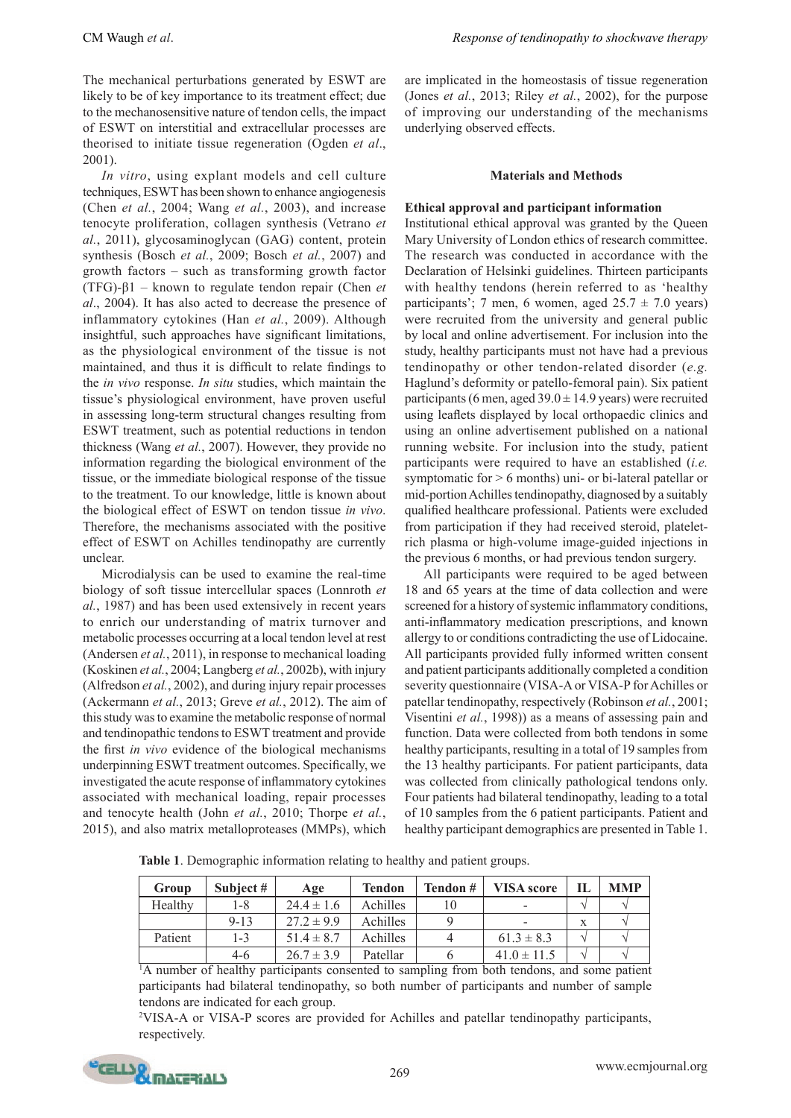The mechanical perturbations generated by ESWT are likely to be of key importance to its treatment effect; due to the mechanosensitive nature of tendon cells, the impact of ESWT on interstitial and extracellular processes are theorised to initiate tissue regeneration (Ogden *et al*., 2001).

*In vitro*, using explant models and cell culture techniques, ESWT has been shown to enhance angiogenesis (Chen *et al.*, 2004; Wang *et al.*, 2003), and increase tenocyte proliferation, collagen synthesis (Vetrano *et al.*, 2011), glycosaminoglycan (GAG) content, protein synthesis (Bosch *et al.*, 2009; Bosch *et al.*, 2007) and growth factors – such as transforming growth factor (TFG)-β1 – known to regulate tendon repair (Chen *et al*., 2004). It has also acted to decrease the presence of inflammatory cytokines (Han *et al.*, 2009). Although insightful, such approaches have significant limitations, as the physiological environment of the tissue is not maintained, and thus it is difficult to relate findings to the *in vivo* response. *In situ* studies, which maintain the tissue's physiological environment, have proven useful in assessing long-term structural changes resulting from ESWT treatment, such as potential reductions in tendon thickness (Wang *et al.*, 2007). However, they provide no information regarding the biological environment of the tissue, or the immediate biological response of the tissue to the treatment. To our knowledge, little is known about the biological effect of ESWT on tendon tissue *in vivo*. Therefore, the mechanisms associated with the positive effect of ESWT on Achilles tendinopathy are currently unclear.

Microdialysis can be used to examine the real-time biology of soft tissue intercellular spaces (Lonnroth *et al.*, 1987) and has been used extensively in recent years to enrich our understanding of matrix turnover and metabolic processes occurring at a local tendon level at rest (Andersen *et al.*, 2011), in response to mechanical loading (Koskinen *et al.*, 2004; Langberg *et al.*, 2002b), with injury (Alfredson *et al.*, 2002), and during injury repair processes (Ackermann *et al.*, 2013; Greve *et al.*, 2012). The aim of this study was to examine the metabolic response of normal and tendinopathic tendons to ESWT treatment and provide the first *in vivo* evidence of the biological mechanisms underpinning ESWT treatment outcomes. Specifically, we investigated the acute response of inflammatory cytokines associated with mechanical loading, repair processes and tenocyte health (John *et al.*, 2010; Thorpe *et al.*, 2015), and also matrix metalloproteases (MMPs), which are implicated in the homeostasis of tissue regeneration (Jones *et al.*, 2013; Riley *et al.*, 2002), for the purpose of improving our understanding of the mechanisms underlying observed effects.

### **Materials and Methods**

### **Ethical approval and participant information**

Institutional ethical approval was granted by the Queen Mary University of London ethics of research committee. The research was conducted in accordance with the Declaration of Helsinki guidelines. Thirteen participants with healthy tendons (herein referred to as 'healthy participants'; 7 men, 6 women, aged  $25.7 \pm 7.0$  years) were recruited from the university and general public by local and online advertisement. For inclusion into the study, healthy participants must not have had a previous tendinopathy or other tendon-related disorder (*e.g.* Haglund's deformity or patello-femoral pain). Six patient participants (6 men, aged  $39.0 \pm 14.9$  years) were recruited using leaflets displayed by local orthopaedic clinics and using an online advertisement published on a national running website. For inclusion into the study, patient participants were required to have an established (*i.e.* symptomatic for > 6 months) uni- or bi-lateral patellar or mid-portion Achilles tendinopathy, diagnosed by a suitably qualified healthcare professional. Patients were excluded from participation if they had received steroid, plateletrich plasma or high-volume image-guided injections in the previous 6 months, or had previous tendon surgery.

All participants were required to be aged between 18 and 65 years at the time of data collection and were screened for a history of systemic inflammatory conditions, anti-inflammatory medication prescriptions, and known allergy to or conditions contradicting the use of Lidocaine. All participants provided fully informed written consent and patient participants additionally completed a condition severity questionnaire (VISA-A or VISA-P for Achilles or patellar tendinopathy, respectively (Robinson *et al.*, 2001; Visentini *et al.*, 1998)) as a means of assessing pain and function. Data were collected from both tendons in some healthy participants, resulting in a total of 19 samples from the 13 healthy participants. For patient participants, data was collected from clinically pathological tendons only. Four patients had bilateral tendinopathy, leading to a total of 10 samples from the 6 patient participants. Patient and healthy participant demographics are presented in Table 1.

**Table 1**. Demographic information relating to healthy and patient groups.

| Group   | Subject $#$ | Age            | <b>Tendon</b> | Tendon # | <b>VISA</b> score        | <b>MMP</b> |
|---------|-------------|----------------|---------------|----------|--------------------------|------------|
| Healthy | 1-8         | $24.4 \pm 1.6$ | Achilles      |          | $\overline{\phantom{a}}$ |            |
|         | $9 - 13$    | $27.2 \pm 9.9$ | Achilles      |          | $\overline{\phantom{a}}$ |            |
| Patient | $1 - 3$     | $51.4 \pm 8.7$ | Achilles      |          | $61.3 \pm 8.3$           |            |
|         | $4-6$       | $26.7 \pm 3.9$ | Patellar      |          | $41.0 \pm 11.5$          |            |

<sup>1</sup>A number of healthy participants consented to sampling from both tendons, and some patient participants had bilateral tendinopathy, so both number of participants and number of sample tendons are indicated for each group.

2 VISA-A or VISA-P scores are provided for Achilles and patellar tendinopathy participants, respectively.

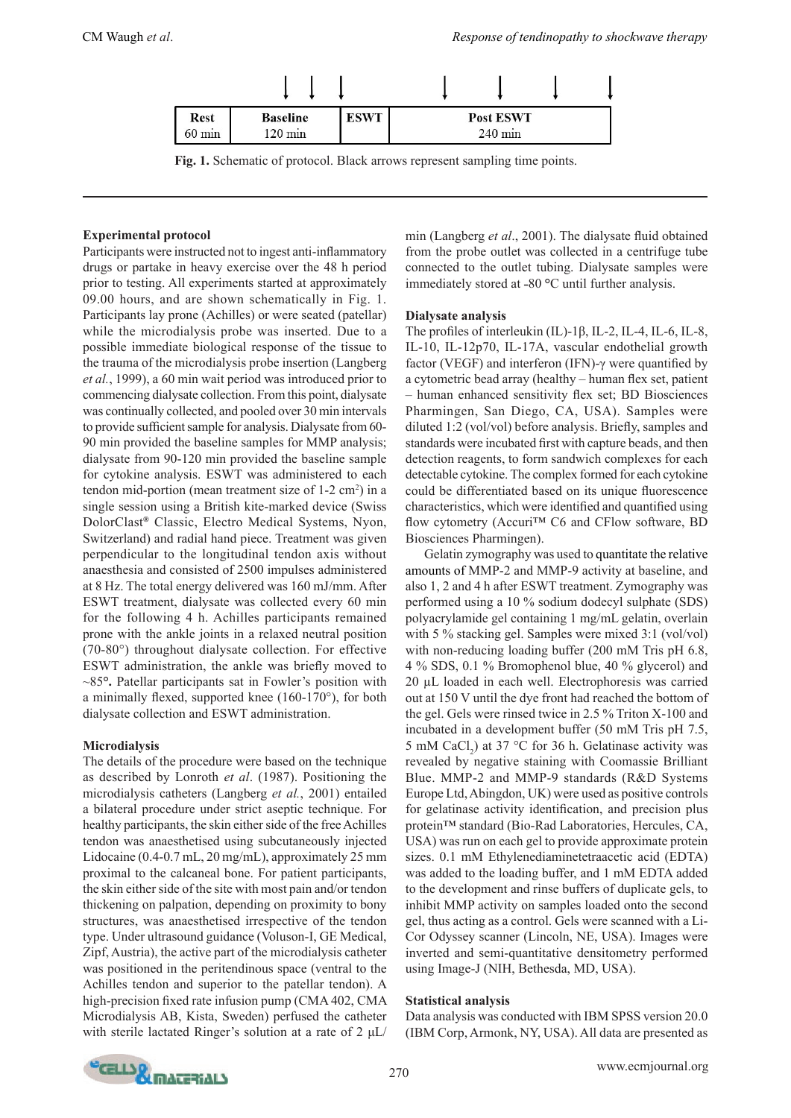

**Fig. 1.** Schematic of protocol. Black arrows represent sampling time points.

## **Experimental protocol**

Participants were instructed not to ingest anti-inflammatory drugs or partake in heavy exercise over the 48 h period prior to testing. All experiments started at approximately 09.00 hours, and are shown schematically in Fig. 1. Participants lay prone (Achilles) or were seated (patellar) while the microdialysis probe was inserted. Due to a possible immediate biological response of the tissue to the trauma of the microdialysis probe insertion (Langberg *et al.*, 1999), a 60 min wait period was introduced prior to commencing dialysate collection. From this point, dialysate was continually collected, and pooled over 30 min intervals to provide sufficient sample for analysis. Dialysate from 60- 90 min provided the baseline samples for MMP analysis; dialysate from 90-120 min provided the baseline sample for cytokine analysis. ESWT was administered to each tendon mid-portion (mean treatment size of  $1-2$  cm<sup>2</sup>) in a single session using a British kite-marked device (Swiss DolorClast**®** Classic, Electro Medical Systems, Nyon, Switzerland) and radial hand piece. Treatment was given perpendicular to the longitudinal tendon axis without anaesthesia and consisted of 2500 impulses administered at 8 Hz. The total energy delivered was 160 mJ/mm. After ESWT treatment, dialysate was collected every 60 min for the following 4 h. Achilles participants remained prone with the ankle joints in a relaxed neutral position (70-80°) throughout dialysate collection. For effective ESWT administration, the ankle was briefly moved to ~85**°.** Patellar participants sat in Fowler's position with a minimally flexed, supported knee (160-170°), for both dialysate collection and ESWT administration.

## **Microdialysis**

The details of the procedure were based on the technique as described by Lonroth *et al*. (1987). Positioning the microdialysis catheters (Langberg *et al.*, 2001) entailed a bilateral procedure under strict aseptic technique. For healthy participants, the skin either side of the free Achilles tendon was anaesthetised using subcutaneously injected Lidocaine (0.4-0.7 mL, 20 mg/mL), approximately 25 mm proximal to the calcaneal bone. For patient participants, the skin either side of the site with most pain and/or tendon thickening on palpation, depending on proximity to bony structures, was anaesthetised irrespective of the tendon type. Under ultrasound guidance (Voluson-I, GE Medical, Zipf, Austria), the active part of the microdialysis catheter was positioned in the peritendinous space (ventral to the Achilles tendon and superior to the patellar tendon). A high-precision fixed rate infusion pump (CMA 402, CMA Microdialysis AB, Kista, Sweden) perfused the catheter with sterile lactated Ringer's solution at a rate of  $2 \mu L$ / min (Langberg *et al*., 2001). The dialysate fluid obtained from the probe outlet was collected in a centrifuge tube connected to the outlet tubing. Dialysate samples were immediately stored at -80 °C until further analysis.

## **Dialysate analysis**

The profiles of interleukin (IL)-1β, IL-2, IL-4, IL-6, IL-8, IL-10, IL-12p70, IL-17A, vascular endothelial growth factor (VEGF) and interferon (IFN)-γ were quantified by a cytometric bead array (healthy – human flex set, patient – human enhanced sensitivity flex set; BD Biosciences Pharmingen, San Diego, CA, USA). Samples were diluted 1:2 (vol/vol) before analysis. Briefly, samples and standards were incubated first with capture beads, and then detection reagents, to form sandwich complexes for each detectable cytokine. The complex formed for each cytokine could be differentiated based on its unique fluorescence characteristics, which were identified and quantified using flow cytometry (Accuri™ C6 and CFlow software, BD Biosciences Pharmingen).

Gelatin zymography was used to quantitate the relative amounts of MMP-2 and MMP-9 activity at baseline, and also 1, 2 and 4 h after ESWT treatment. Zymography was performed using a 10 % sodium dodecyl sulphate (SDS) polyacrylamide gel containing 1 mg/mL gelatin, overlain with 5 % stacking gel. Samples were mixed 3:1 (vol/vol) with non-reducing loading buffer (200 mM Tris pH 6.8, 4 % SDS, 0.1 % Bromophenol blue, 40 % glycerol) and 20 µL loaded in each well. Electrophoresis was carried out at 150 V until the dye front had reached the bottom of the gel. Gels were rinsed twice in 2.5 % Triton X-100 and incubated in a development buffer (50 mM Tris pH 7.5, 5 mM CaCl<sub>2</sub>) at 37 °C for 36 h. Gelatinase activity was revealed by negative staining with Coomassie Brilliant Blue. MMP-2 and MMP-9 standards (R&D Systems Europe Ltd, Abingdon, UK) were used as positive controls for gelatinase activity identification, and precision plus protein™ standard (Bio-Rad Laboratories, Hercules, CA, USA) was run on each gel to provide approximate protein sizes. 0.1 mM Ethylenediaminetetraacetic acid (EDTA) was added to the loading buffer, and 1 mM EDTA added to the development and rinse buffers of duplicate gels, to inhibit MMP activity on samples loaded onto the second gel, thus acting as a control. Gels were scanned with a Li-Cor Odyssey scanner (Lincoln, NE, USA). Images were inverted and semi-quantitative densitometry performed using Image-J (NIH, Bethesda, MD, USA).

## **Statistical analysis**

Data analysis was conducted with IBM SPSS version 20.0 (IBM Corp, Armonk, NY, USA). All data are presented as

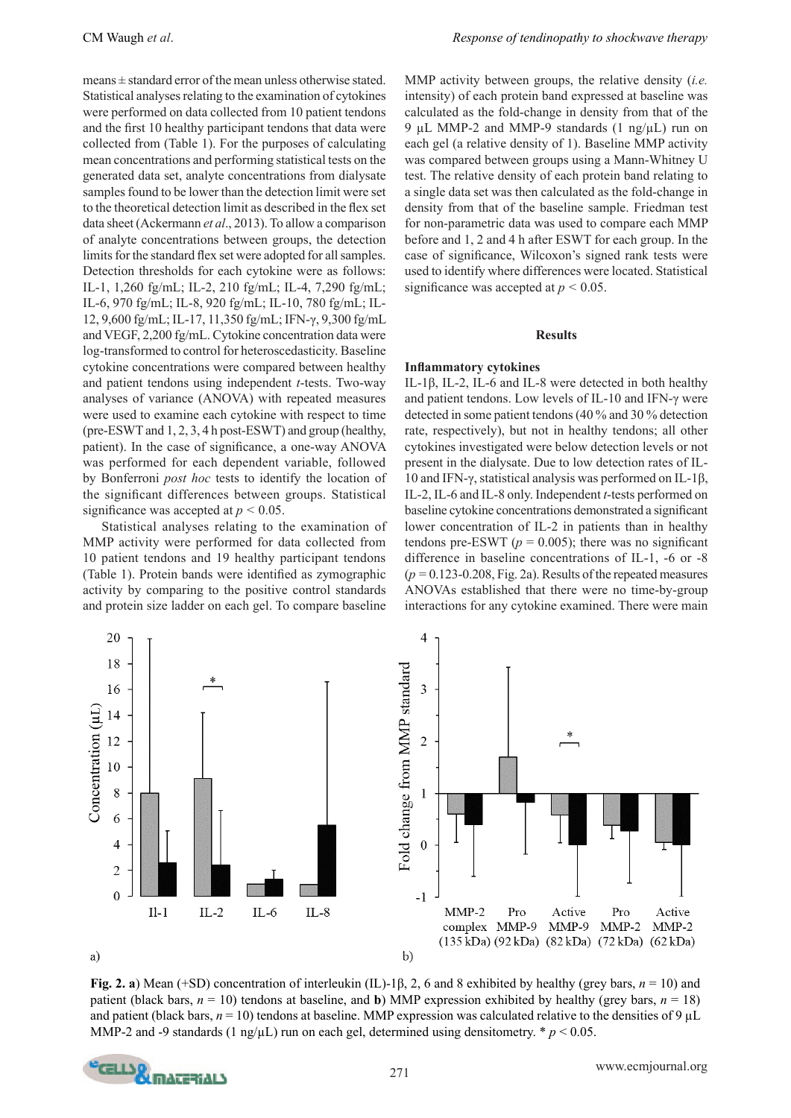means ± standard error of the mean unless otherwise stated. Statistical analyses relating to the examination of cytokines were performed on data collected from 10 patient tendons and the first 10 healthy participant tendons that data were collected from (Table 1). For the purposes of calculating mean concentrations and performing statistical tests on the generated data set, analyte concentrations from dialysate samples found to be lower than the detection limit were set to the theoretical detection limit as described in the flex set data sheet (Ackermann *et al*., 2013). To allow a comparison of analyte concentrations between groups, the detection limits for the standard flex set were adopted for all samples. Detection thresholds for each cytokine were as follows: IL-1, 1,260 fg/mL; IL-2, 210 fg/mL; IL-4, 7,290 fg/mL; IL-6, 970 fg/mL; IL-8, 920 fg/mL; IL-10, 780 fg/mL; IL-12, 9,600 fg/mL; IL-17, 11,350 fg/mL; IFN-γ, 9,300 fg/mL and VEGF, 2,200 fg/mL. Cytokine concentration data were log-transformed to control for heteroscedasticity. Baseline cytokine concentrations were compared between healthy and patient tendons using independent *t*-tests. Two-way analyses of variance (ANOVA) with repeated measures were used to examine each cytokine with respect to time (pre-ESWT and 1, 2, 3, 4 h post-ESWT) and group (healthy, patient). In the case of significance, a one-way ANOVA was performed for each dependent variable, followed by Bonferroni *post hoc* tests to identify the location of the significant differences between groups. Statistical significance was accepted at  $p < 0.05$ .

Statistical analyses relating to the examination of MMP activity were performed for data collected from 10 patient tendons and 19 healthy participant tendons (Table 1). Protein bands were identified as zymographic activity by comparing to the positive control standards and protein size ladder on each gel. To compare baseline MMP activity between groups, the relative density (*i.e.* intensity) of each protein band expressed at baseline was calculated as the fold-change in density from that of the 9 µL MMP-2 and MMP-9 standards  $(1 \text{ ng/µL})$  run on each gel (a relative density of 1). Baseline MMP activity was compared between groups using a Mann-Whitney U test. The relative density of each protein band relating to a single data set was then calculated as the fold-change in density from that of the baseline sample. Friedman test for non-parametric data was used to compare each MMP before and 1, 2 and 4 h after ESWT for each group. In the case of significance, Wilcoxon's signed rank tests were used to identify where differences were located. Statistical significance was accepted at  $p < 0.05$ .

#### **Results**

#### **Inflammatory cytokines**

IL-1β, IL-2, IL-6 and IL-8 were detected in both healthy and patient tendons. Low levels of IL-10 and IFN-γ were detected in some patient tendons (40 % and 30 % detection rate, respectively), but not in healthy tendons; all other cytokines investigated were below detection levels or not present in the dialysate. Due to low detection rates of IL-10 and IFN-γ, statistical analysis was performed on IL-1β, IL-2, IL-6 and IL-8 only. Independent *t*-tests performed on baseline cytokine concentrations demonstrated a significant lower concentration of IL-2 in patients than in healthy tendons pre-ESWT ( $p = 0.005$ ); there was no significant difference in baseline concentrations of IL-1, -6 or -8  $(p=0.123-0.208$ , Fig. 2a). Results of the repeated measures ANOVAs established that there were no time-by-group interactions for any cytokine examined. There were main



**Fig. 2. a**) Mean (+SD) concentration of interleukin (IL)-1β, 2, 6 and 8 exhibited by healthy (grey bars, *n* = 10) and patient (black bars,  $n = 10$ ) tendons at baseline, and **b**) MMP expression exhibited by healthy (grey bars,  $n = 18$ ) and patient (black bars,  $n = 10$ ) tendons at baseline. MMP expression was calculated relative to the densities of 9  $\mu$ L MMP-2 and -9 standards (1 ng/ $\mu$ L) run on each gel, determined using densitometry. \*  $p < 0.05$ .

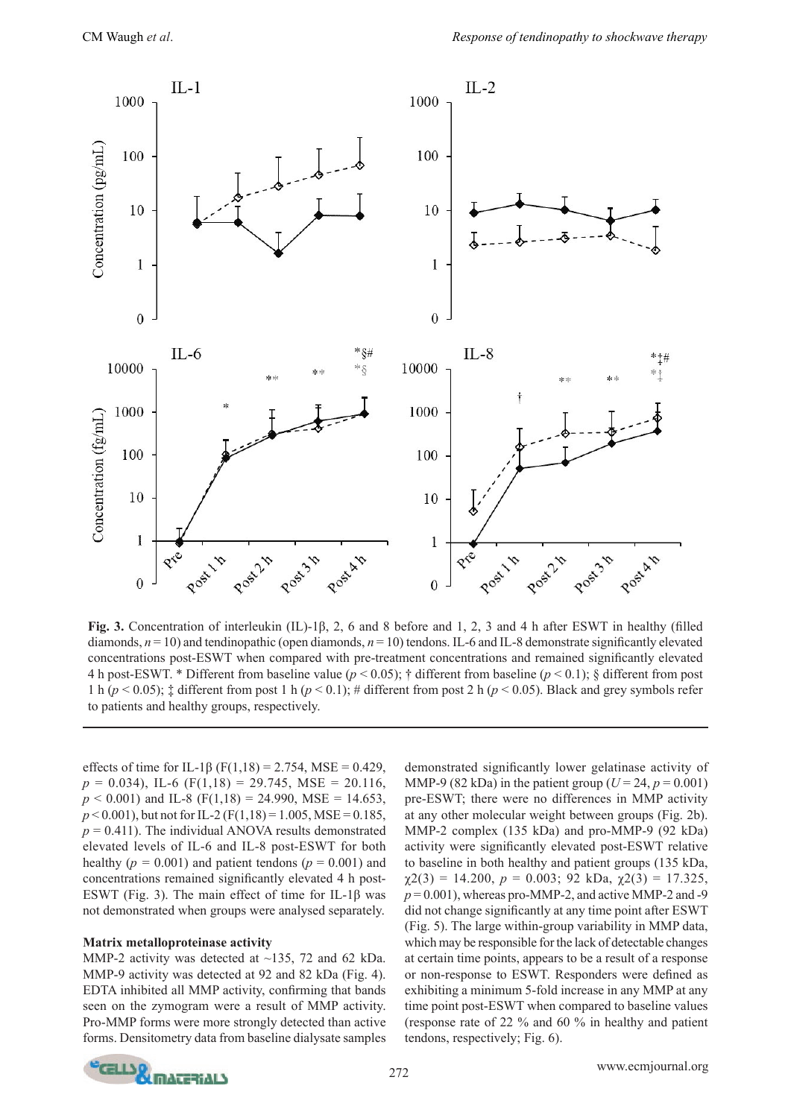

**Fig. 3.** Concentration of interleukin (IL)-1β, 2, 6 and 8 before and 1, 2, 3 and 4 h after ESWT in healthy (filled diamonds, *n* = 10) and tendinopathic (open diamonds, *n* = 10) tendons. IL-6 and IL-8 demonstrate significantly elevated concentrations post-ESWT when compared with pre-treatment concentrations and remained significantly elevated 4 h post-ESWT. \* Different from baseline value (*p* < 0.05); † different from baseline (*p* < 0.1); § different from post 1 h ( $p$  < 0.05);  $\ddagger$  different from post 1 h ( $p$  < 0.1); # different from post 2 h ( $p$  < 0.05). Black and grey symbols refer to patients and healthy groups, respectively.

effects of time for IL-1β (F(1,18) = 2.754, MSE = 0.429,  $p = 0.034$ ), IL-6 (F(1,18) = 29.745, MSE = 20.116,  $p < 0.001$ ) and IL-8 (F(1,18) = 24.990, MSE = 14.653,  $p < 0.001$ ), but not for IL-2 (F(1,18) = 1.005, MSE = 0.185,  $p = 0.411$ ). The individual ANOVA results demonstrated elevated levels of IL-6 and IL-8 post-ESWT for both healthy ( $p = 0.001$ ) and patient tendons ( $p = 0.001$ ) and concentrations remained significantly elevated 4 h post-ESWT (Fig. 3). The main effect of time for IL-1β was not demonstrated when groups were analysed separately.

### **Matrix metalloproteinase activity**

MMP-2 activity was detected at ~135, 72 and 62 kDa. MMP-9 activity was detected at 92 and 82 kDa (Fig. 4). EDTA inhibited all MMP activity, confirming that bands seen on the zymogram were a result of MMP activity. Pro-MMP forms were more strongly detected than active forms. Densitometry data from baseline dialysate samples

demonstrated significantly lower gelatinase activity of MMP-9 (82 kDa) in the patient group ( $U = 24$ ,  $p = 0.001$ ) pre-ESWT; there were no differences in MMP activity at any other molecular weight between groups (Fig. 2b). MMP-2 complex (135 kDa) and pro-MMP-9 (92 kDa) activity were significantly elevated post-ESWT relative to baseline in both healthy and patient groups (135 kDa,  $\chi$ 2(3) = 14.200,  $p = 0.003$ ; 92 kDa,  $\chi$ 2(3) = 17.325,  $p = 0.001$ , whereas pro-MMP-2, and active MMP-2 and -9 did not change significantly at any time point after ESWT (Fig. 5). The large within-group variability in MMP data, which may be responsible for the lack of detectable changes at certain time points, appears to be a result of a response or non-response to ESWT. Responders were defined as exhibiting a minimum 5-fold increase in any MMP at any time point post-ESWT when compared to baseline values (response rate of 22 % and 60 % in healthy and patient tendons, respectively; Fig. 6).

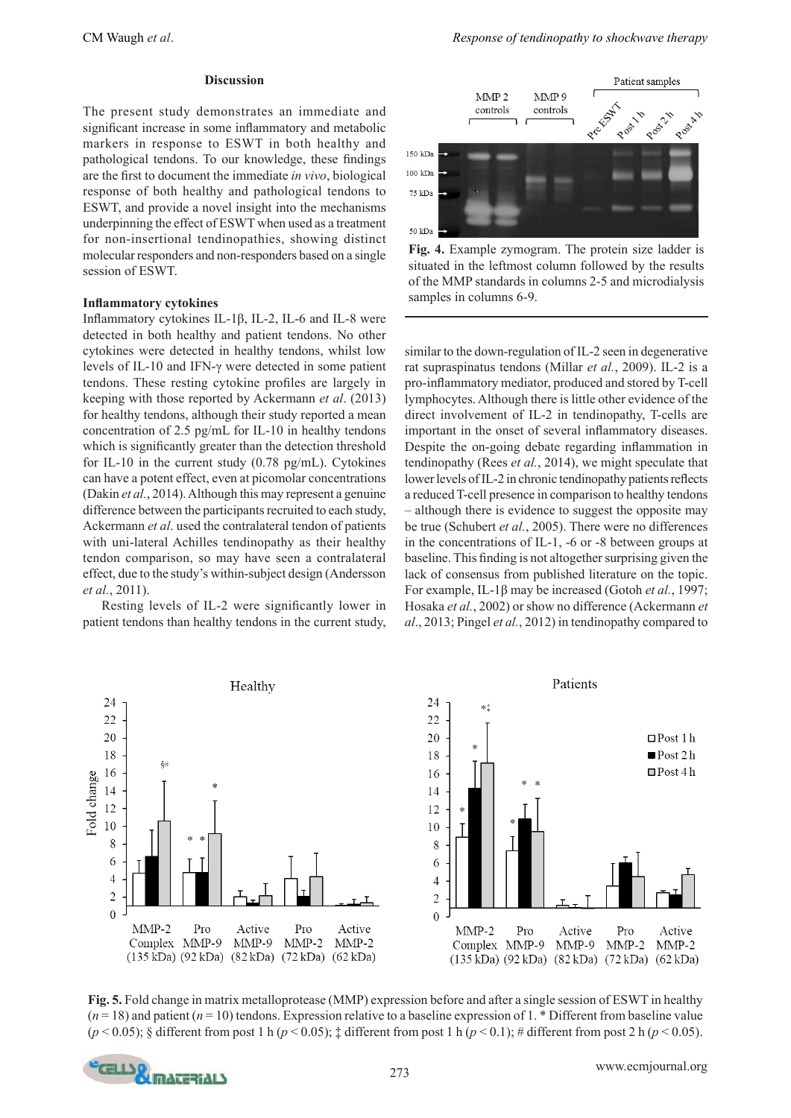The present study demonstrates an immediate and significant increase in some inflammatory and metabolic markers in response to ESWT in both healthy and pathological tendons. To our knowledge, these findings are the first to document the immediate *in vivo*, biological response of both healthy and pathological tendons to ESWT, and provide a novel insight into the mechanisms underpinning the effect of ESWT when used as a treatment for non-insertional tendinopathies, showing distinct molecular responders and non-responders based on a single session of ESWT.

#### **Inflammatory cytokines**

Inflammatory cytokines IL-1β, IL-2, IL-6 and IL-8 were detected in both healthy and patient tendons. No other cytokines were detected in healthy tendons, whilst low levels of IL-10 and IFN-γ were detected in some patient tendons. These resting cytokine profiles are largely in keeping with those reported by Ackermann *et al*. (2013) for healthy tendons, although their study reported a mean concentration of 2.5 pg/mL for IL-10 in healthy tendons which is significantly greater than the detection threshold for IL-10 in the current study (0.78 pg/mL). Cytokines can have a potent effect, even at picomolar concentrations (Dakin *et al.*, 2014). Although this may represent a genuine difference between the participants recruited to each study, Ackermann *et al*. used the contralateral tendon of patients with uni-lateral Achilles tendinopathy as their healthy tendon comparison, so may have seen a contralateral effect, due to the study's within-subject design (Andersson *et al.*, 2011).

Resting levels of IL-2 were significantly lower in patient tendons than healthy tendons in the current study,



**Fig. 4.** Example zymogram. The protein size ladder is situated in the leftmost column followed by the results of the MMP standards in columns 2-5 and microdialysis samples in columns 6-9.

similar to the down-regulation of IL-2 seen in degenerative rat supraspinatus tendons (Millar *et al.*, 2009). IL-2 is a pro-inflammatory mediator, produced and stored by T-cell lymphocytes. Although there is little other evidence of the direct involvement of IL-2 in tendinopathy, T-cells are important in the onset of several inflammatory diseases. Despite the on-going debate regarding inflammation in tendinopathy (Rees *et al.*, 2014), we might speculate that lower levels of IL-2 in chronic tendinopathy patients reflects a reduced T-cell presence in comparison to healthy tendons – although there is evidence to suggest the opposite may be true (Schubert *et al.*, 2005). There were no differences in the concentrations of IL-1, -6 or -8 between groups at baseline. This finding is not altogether surprising given the lack of consensus from published literature on the topic. For example, IL-1β may be increased (Gotoh *et al.*, 1997; Hosaka *et al.*, 2002) or show no difference (Ackermann *et al*., 2013; Pingel *et al.*, 2012) in tendinopathy compared to



**Fig. 5.** Fold change in matrix metalloprotease (MMP) expression before and after a single session of ESWT in healthy  $(n=18)$  and patient  $(n=10)$  tendons. Expression relative to a baseline expression of 1. \* Different from baseline value (*p* < 0.05); § different from post 1 h (*p* < 0.05); ‡ different from post 1 h (*p* < 0.1); # different from post 2 h (*p* < 0.05).

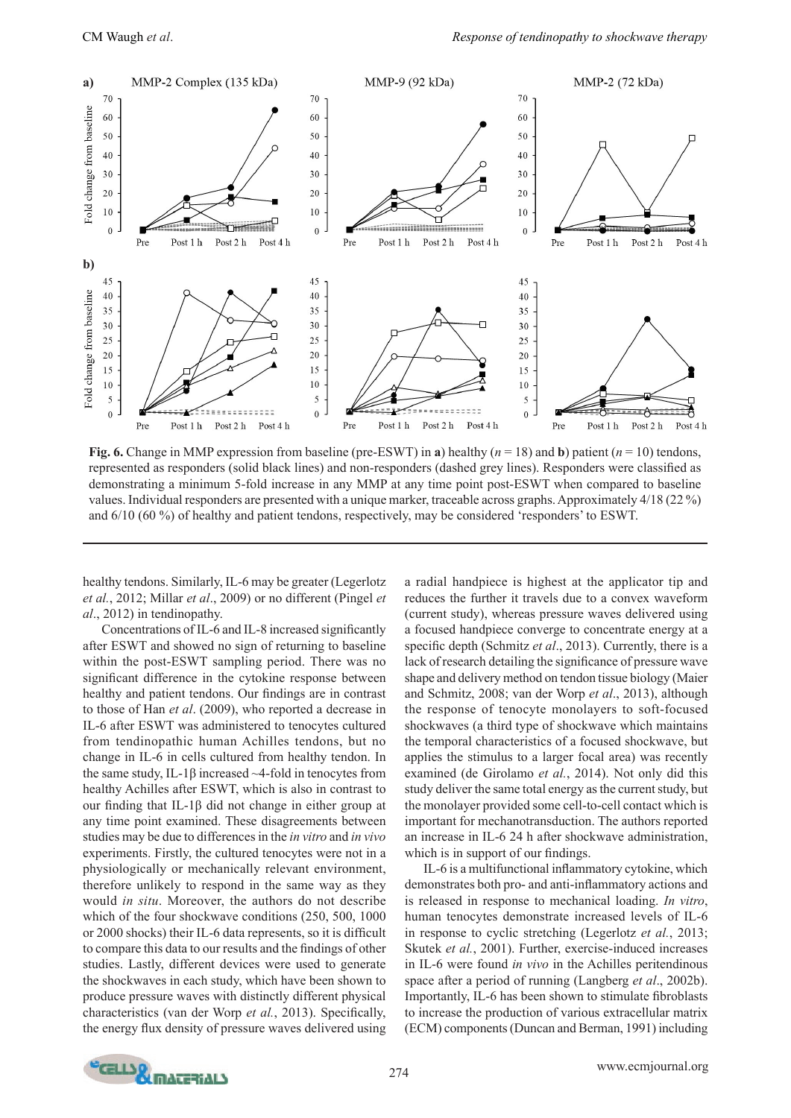

**Fig. 6.** Change in MMP expression from baseline (pre-ESWT) in **a**) healthy ( $n = 18$ ) and **b**) patient ( $n = 10$ ) tendons, represented as responders (solid black lines) and non-responders (dashed grey lines). Responders were classified as demonstrating a minimum 5-fold increase in any MMP at any time point post-ESWT when compared to baseline values. Individual responders are presented with a unique marker, traceable across graphs. Approximately 4/18 (22 %) and 6/10 (60 %) of healthy and patient tendons, respectively, may be considered 'responders' to ESWT.

healthy tendons. Similarly, IL-6 may be greater (Legerlotz *et al.*, 2012; Millar *et al*., 2009) or no different (Pingel *et al*., 2012) in tendinopathy.

Concentrations of IL-6 and IL-8 increased significantly after ESWT and showed no sign of returning to baseline within the post-ESWT sampling period. There was no significant difference in the cytokine response between healthy and patient tendons. Our findings are in contrast to those of Han *et al*. (2009), who reported a decrease in IL-6 after ESWT was administered to tenocytes cultured from tendinopathic human Achilles tendons, but no change in IL-6 in cells cultured from healthy tendon. In the same study, IL-1β increased  $~\sim$ 4-fold in tenocytes from healthy Achilles after ESWT, which is also in contrast to our finding that IL-1β did not change in either group at any time point examined. These disagreements between studies may be due to differences in the *in vitro* and *in vivo* experiments. Firstly, the cultured tenocytes were not in a physiologically or mechanically relevant environment, therefore unlikely to respond in the same way as they would *in situ*. Moreover, the authors do not describe which of the four shockwave conditions (250, 500, 1000 or 2000 shocks) their IL-6 data represents, so it is difficult to compare this data to our results and the findings of other studies. Lastly, different devices were used to generate the shockwaves in each study, which have been shown to produce pressure waves with distinctly different physical characteristics (van der Worp *et al.*, 2013). Specifically, the energy flux density of pressure waves delivered using a radial handpiece is highest at the applicator tip and reduces the further it travels due to a convex waveform (current study), whereas pressure waves delivered using a focused handpiece converge to concentrate energy at a specific depth (Schmitz *et al*., 2013). Currently, there is a lack of research detailing the significance of pressure wave shape and delivery method on tendon tissue biology (Maier and Schmitz, 2008; van der Worp *et al*., 2013), although the response of tenocyte monolayers to soft-focused shockwaves (a third type of shockwave which maintains the temporal characteristics of a focused shockwave, but applies the stimulus to a larger focal area) was recently examined (de Girolamo *et al.*, 2014). Not only did this study deliver the same total energy as the current study, but the monolayer provided some cell-to-cell contact which is important for mechanotransduction. The authors reported an increase in IL-6 24 h after shockwave administration, which is in support of our findings.

IL-6 is a multifunctional inflammatory cytokine, which demonstrates both pro- and anti-inflammatory actions and is released in response to mechanical loading. *In vitro*, human tenocytes demonstrate increased levels of IL-6 in response to cyclic stretching (Legerlotz *et al.*, 2013; Skutek *et al.*, 2001). Further, exercise-induced increases in IL-6 were found *in vivo* in the Achilles peritendinous space after a period of running (Langberg *et al*., 2002b). Importantly, IL-6 has been shown to stimulate fibroblasts to increase the production of various extracellular matrix (ECM) components (Duncan and Berman, 1991) including

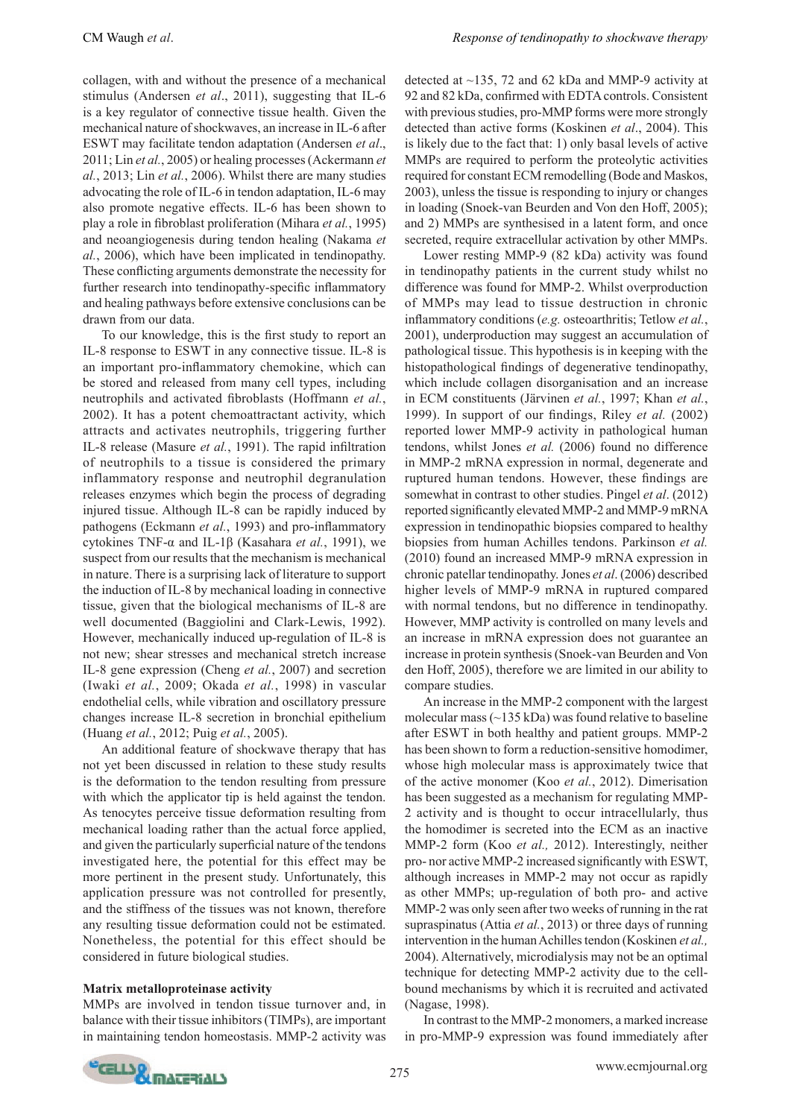collagen, with and without the presence of a mechanical stimulus (Andersen *et al*., 2011), suggesting that IL-6 is a key regulator of connective tissue health. Given the mechanical nature of shockwaves, an increase in IL-6 after ESWT may facilitate tendon adaptation (Andersen *et al*., 2011; Lin *et al.*, 2005) or healing processes (Ackermann *et al.*, 2013; Lin *et al.*, 2006). Whilst there are many studies advocating the role of IL-6 in tendon adaptation, IL-6 may also promote negative effects. IL-6 has been shown to play a role in fibroblast proliferation (Mihara *et al.*, 1995) and neoangiogenesis during tendon healing (Nakama *et al.*, 2006), which have been implicated in tendinopathy. These conflicting arguments demonstrate the necessity for further research into tendinopathy-specific inflammatory and healing pathways before extensive conclusions can be drawn from our data.

To our knowledge, this is the first study to report an IL-8 response to ESWT in any connective tissue. IL-8 is an important pro-inflammatory chemokine, which can be stored and released from many cell types, including neutrophils and activated fibroblasts (Hoffmann *et al.*, 2002). It has a potent chemoattractant activity, which attracts and activates neutrophils, triggering further IL-8 release (Masure *et al.*, 1991). The rapid infiltration of neutrophils to a tissue is considered the primary inflammatory response and neutrophil degranulation releases enzymes which begin the process of degrading injured tissue. Although IL-8 can be rapidly induced by pathogens (Eckmann *et al.*, 1993) and pro-inflammatory cytokines TNF-α and IL-1β (Kasahara *et al.*, 1991), we suspect from our results that the mechanism is mechanical in nature. There is a surprising lack of literature to support the induction of IL-8 by mechanical loading in connective tissue, given that the biological mechanisms of IL-8 are well documented (Baggiolini and Clark-Lewis, 1992). However, mechanically induced up-regulation of IL-8 is not new; shear stresses and mechanical stretch increase IL-8 gene expression (Cheng *et al.*, 2007) and secretion (Iwaki *et al.*, 2009; Okada *et al.*, 1998) in vascular endothelial cells, while vibration and oscillatory pressure changes increase IL-8 secretion in bronchial epithelium (Huang *et al.*, 2012; Puig *et al.*, 2005).

An additional feature of shockwave therapy that has not yet been discussed in relation to these study results is the deformation to the tendon resulting from pressure with which the applicator tip is held against the tendon. As tenocytes perceive tissue deformation resulting from mechanical loading rather than the actual force applied, and given the particularly superficial nature of the tendons investigated here, the potential for this effect may be more pertinent in the present study. Unfortunately, this application pressure was not controlled for presently, and the stiffness of the tissues was not known, therefore any resulting tissue deformation could not be estimated. Nonetheless, the potential for this effect should be considered in future biological studies.

### **Matrix metalloproteinase activity**

MMPs are involved in tendon tissue turnover and, in balance with their tissue inhibitors (TIMPs), are important in maintaining tendon homeostasis. MMP-2 activity was detected at ~135, 72 and 62 kDa and MMP-9 activity at 92 and 82 kDa, confirmed with EDTA controls. Consistent with previous studies, pro-MMP forms were more strongly detected than active forms (Koskinen *et al*., 2004). This is likely due to the fact that: 1) only basal levels of active MMPs are required to perform the proteolytic activities required for constant ECM remodelling (Bode and Maskos, 2003), unless the tissue is responding to injury or changes in loading (Snoek-van Beurden and Von den Hoff, 2005); and 2) MMPs are synthesised in a latent form, and once secreted, require extracellular activation by other MMPs.

Lower resting MMP-9 (82 kDa) activity was found in tendinopathy patients in the current study whilst no difference was found for MMP-2. Whilst overproduction of MMPs may lead to tissue destruction in chronic inflammatory conditions (*e.g.* osteoarthritis; Tetlow *et al.*, 2001), underproduction may suggest an accumulation of pathological tissue. This hypothesis is in keeping with the histopathological findings of degenerative tendinopathy, which include collagen disorganisation and an increase in ECM constituents (Järvinen *et al.*, 1997; Khan *et al.*, 1999). In support of our findings, Riley *et al.* (2002) reported lower MMP-9 activity in pathological human tendons, whilst Jones *et al.* (2006) found no difference in MMP-2 mRNA expression in normal, degenerate and ruptured human tendons. However, these findings are somewhat in contrast to other studies. Pingel *et al*. (2012) reported significantly elevated MMP-2 and MMP-9 mRNA expression in tendinopathic biopsies compared to healthy biopsies from human Achilles tendons. Parkinson *et al.* (2010) found an increased MMP-9 mRNA expression in chronic patellar tendinopathy. Jones *et al*. (2006) described higher levels of MMP-9 mRNA in ruptured compared with normal tendons, but no difference in tendinopathy. However, MMP activity is controlled on many levels and an increase in mRNA expression does not guarantee an increase in protein synthesis (Snoek-van Beurden and Von den Hoff, 2005), therefore we are limited in our ability to compare studies.

An increase in the MMP-2 component with the largest molecular mass  $(\sim 135 \text{ kDa})$  was found relative to baseline after ESWT in both healthy and patient groups. MMP-2 has been shown to form a reduction-sensitive homodimer, whose high molecular mass is approximately twice that of the active monomer (Koo *et al.*, 2012). Dimerisation has been suggested as a mechanism for regulating MMP-2 activity and is thought to occur intracellularly, thus the homodimer is secreted into the ECM as an inactive MMP-2 form (Koo *et al.,* 2012). Interestingly, neither pro- nor active MMP-2 increased significantly with ESWT, although increases in MMP-2 may not occur as rapidly as other MMPs; up-regulation of both pro- and active MMP-2 was only seen after two weeks of running in the rat supraspinatus (Attia *et al.*, 2013) or three days of running intervention in the human Achilles tendon (Koskinen *et al.,* 2004). Alternatively, microdialysis may not be an optimal technique for detecting MMP-2 activity due to the cellbound mechanisms by which it is recruited and activated (Nagase, 1998).

In contrast to the MMP-2 monomers, a marked increase in pro-MMP-9 expression was found immediately after

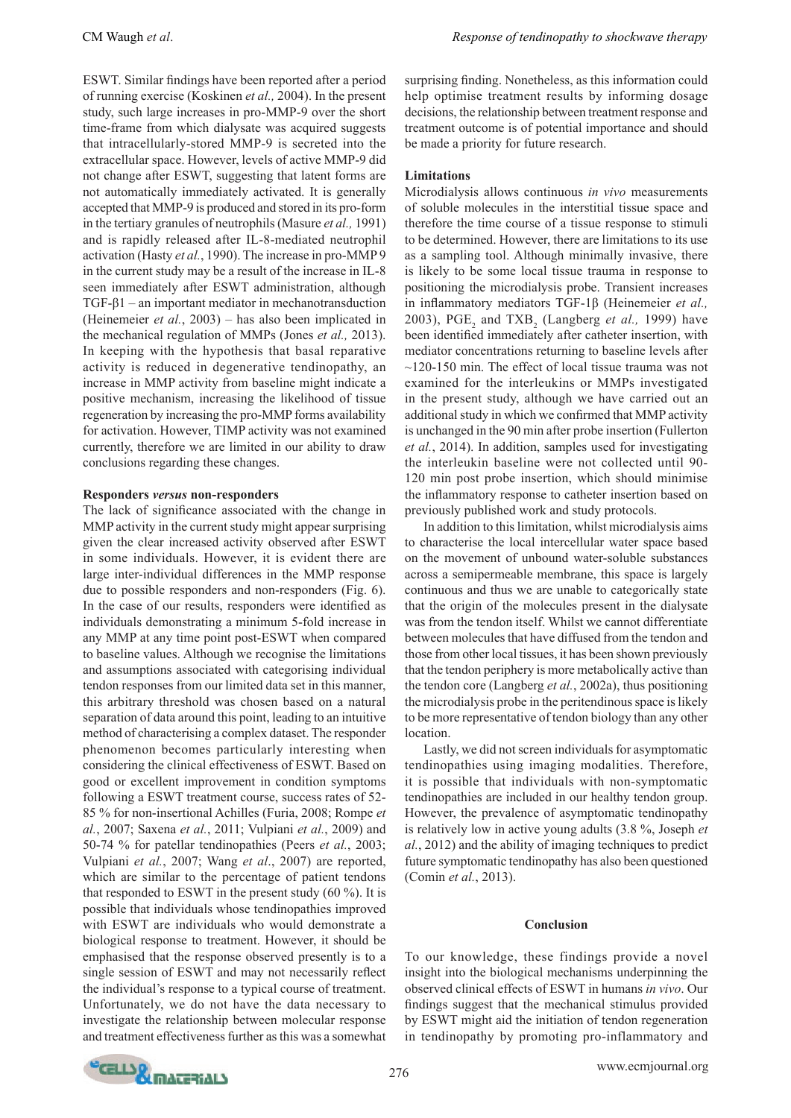ESWT. Similar findings have been reported after a period of running exercise (Koskinen *et al.,* 2004). In the present study, such large increases in pro-MMP-9 over the short time-frame from which dialysate was acquired suggests that intracellularly-stored MMP-9 is secreted into the extracellular space. However, levels of active MMP-9 did not change after ESWT, suggesting that latent forms are not automatically immediately activated. It is generally accepted that MMP-9 is produced and stored in its pro-form in the tertiary granules of neutrophils (Masure *et al.,* 1991) and is rapidly released after IL-8-mediated neutrophil activation (Hasty *et al.*, 1990). The increase in pro-MMP 9 in the current study may be a result of the increase in IL-8 seen immediately after ESWT administration, although TGF-β1 – an important mediator in mechanotransduction (Heinemeier *et al.*, 2003) – has also been implicated in the mechanical regulation of MMPs (Jones *et al.,* 2013). In keeping with the hypothesis that basal reparative activity is reduced in degenerative tendinopathy, an increase in MMP activity from baseline might indicate a positive mechanism, increasing the likelihood of tissue regeneration by increasing the pro-MMP forms availability for activation. However, TIMP activity was not examined currently, therefore we are limited in our ability to draw conclusions regarding these changes.

### **Responders** *versus* **non-responders**

The lack of significance associated with the change in MMP activity in the current study might appear surprising given the clear increased activity observed after ESWT in some individuals. However, it is evident there are large inter-individual differences in the MMP response due to possible responders and non-responders (Fig. 6). In the case of our results, responders were identified as individuals demonstrating a minimum 5-fold increase in any MMP at any time point post-ESWT when compared to baseline values. Although we recognise the limitations and assumptions associated with categorising individual tendon responses from our limited data set in this manner, this arbitrary threshold was chosen based on a natural separation of data around this point, leading to an intuitive method of characterising a complex dataset. The responder phenomenon becomes particularly interesting when considering the clinical effectiveness of ESWT. Based on good or excellent improvement in condition symptoms following a ESWT treatment course, success rates of 52- 85 % for non-insertional Achilles (Furia, 2008; Rompe *et al.*, 2007; Saxena *et al.*, 2011; Vulpiani *et al.*, 2009) and 50-74 % for patellar tendinopathies (Peers *et al.*, 2003; Vulpiani *et al.*, 2007; Wang *et al*., 2007) are reported, which are similar to the percentage of patient tendons that responded to ESWT in the present study (60 %). It is possible that individuals whose tendinopathies improved with ESWT are individuals who would demonstrate a biological response to treatment. However, it should be emphasised that the response observed presently is to a single session of ESWT and may not necessarily reflect the individual's response to a typical course of treatment. Unfortunately, we do not have the data necessary to investigate the relationship between molecular response and treatment effectiveness further as this was a somewhat

surprising finding. Nonetheless, as this information could help optimise treatment results by informing dosage decisions, the relationship between treatment response and treatment outcome is of potential importance and should be made a priority for future research.

### **Limitations**

Microdialysis allows continuous *in vivo* measurements of soluble molecules in the interstitial tissue space and therefore the time course of a tissue response to stimuli to be determined. However, there are limitations to its use as a sampling tool. Although minimally invasive, there is likely to be some local tissue trauma in response to positioning the microdialysis probe. Transient increases in inflammatory mediators TGF-1β (Heinemeier *et al.,* 2003),  $PGE_2$  and  $TXB_2$  (Langberg *et al.*, 1999) have been identified immediately after catheter insertion, with mediator concentrations returning to baseline levels after  $\sim$ 120-150 min. The effect of local tissue trauma was not examined for the interleukins or MMPs investigated in the present study, although we have carried out an additional study in which we confirmed that MMP activity is unchanged in the 90 min after probe insertion (Fullerton *et al.*, 2014). In addition, samples used for investigating the interleukin baseline were not collected until 90- 120 min post probe insertion, which should minimise the inflammatory response to catheter insertion based on previously published work and study protocols.

In addition to this limitation, whilst microdialysis aims to characterise the local intercellular water space based on the movement of unbound water-soluble substances across a semipermeable membrane, this space is largely continuous and thus we are unable to categorically state that the origin of the molecules present in the dialysate was from the tendon itself. Whilst we cannot differentiate between molecules that have diffused from the tendon and those from other local tissues, it has been shown previously that the tendon periphery is more metabolically active than the tendon core (Langberg *et al.*, 2002a), thus positioning the microdialysis probe in the peritendinous space is likely to be more representative of tendon biology than any other location.

Lastly, we did not screen individuals for asymptomatic tendinopathies using imaging modalities. Therefore, it is possible that individuals with non-symptomatic tendinopathies are included in our healthy tendon group. However, the prevalence of asymptomatic tendinopathy is relatively low in active young adults (3.8 %, Joseph *et al.*, 2012) and the ability of imaging techniques to predict future symptomatic tendinopathy has also been questioned (Comin *et al.*, 2013).

### **Conclusion**

To our knowledge, these findings provide a novel insight into the biological mechanisms underpinning the observed clinical effects of ESWT in humans *in vivo*. Our findings suggest that the mechanical stimulus provided by ESWT might aid the initiation of tendon regeneration in tendinopathy by promoting pro-inflammatory and

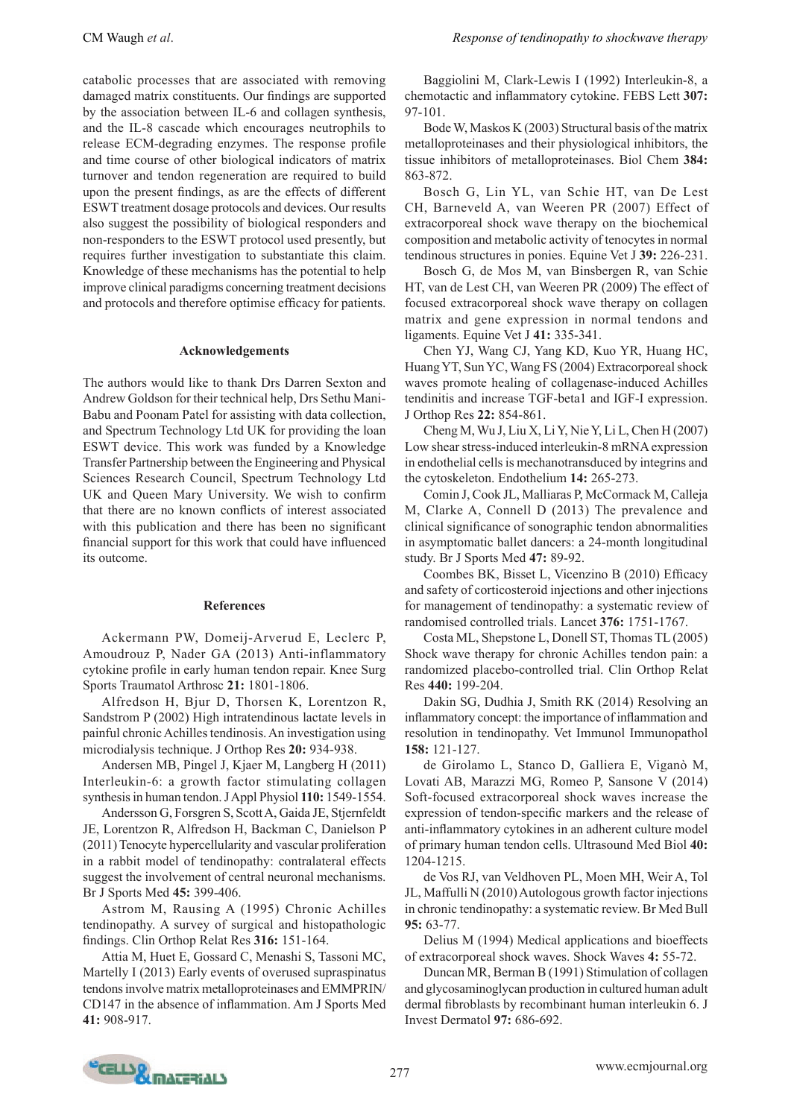CM Waugh *et al*. *Response of tendinopathy to shockwave therapy*

catabolic processes that are associated with removing damaged matrix constituents. Our findings are supported by the association between IL-6 and collagen synthesis, and the IL-8 cascade which encourages neutrophils to release ECM-degrading enzymes. The response profile and time course of other biological indicators of matrix turnover and tendon regeneration are required to build upon the present findings, as are the effects of different ESWT treatment dosage protocols and devices. Our results also suggest the possibility of biological responders and non-responders to the ESWT protocol used presently, but requires further investigation to substantiate this claim. Knowledge of these mechanisms has the potential to help improve clinical paradigms concerning treatment decisions and protocols and therefore optimise efficacy for patients.

#### **Acknowledgements**

The authors would like to thank Drs Darren Sexton and Andrew Goldson for their technical help, Drs Sethu Mani-Babu and Poonam Patel for assisting with data collection, and Spectrum Technology Ltd UK for providing the loan ESWT device. This work was funded by a Knowledge Transfer Partnership between the Engineering and Physical Sciences Research Council, Spectrum Technology Ltd UK and Queen Mary University. We wish to confirm that there are no known conflicts of interest associated with this publication and there has been no significant financial support for this work that could have influenced its outcome.

#### **References**

Ackermann PW, Domeij-Arverud E, Leclerc P, Amoudrouz P, Nader GA (2013) Anti-inflammatory cytokine profile in early human tendon repair. Knee Surg Sports Traumatol Arthrosc **21:** 1801-1806.

Alfredson H, Bjur D, Thorsen K, Lorentzon R, Sandstrom P (2002) High intratendinous lactate levels in painful chronic Achilles tendinosis. An investigation using microdialysis technique. J Orthop Res **20:** 934-938.

Andersen MB, Pingel J, Kjaer M, Langberg H (2011) Interleukin-6: a growth factor stimulating collagen synthesis in human tendon. J Appl Physiol **110:** 1549-1554.

Andersson G, Forsgren S, Scott A, Gaida JE, Stjernfeldt JE, Lorentzon R, Alfredson H, Backman C, Danielson P (2011) Tenocyte hypercellularity and vascular proliferation in a rabbit model of tendinopathy: contralateral effects suggest the involvement of central neuronal mechanisms. Br J Sports Med **45:** 399-406.

Astrom M, Rausing A (1995) Chronic Achilles tendinopathy. A survey of surgical and histopathologic findings. Clin Orthop Relat Res **316:** 151-164.

Attia M, Huet E, Gossard C, Menashi S, Tassoni MC, Martelly I (2013) Early events of overused supraspinatus tendons involve matrix metalloproteinases and EMMPRIN/ CD147 in the absence of inflammation. Am J Sports Med **41:** 908-917.

Baggiolini M, Clark-Lewis I (1992) Interleukin-8, a chemotactic and inflammatory cytokine. FEBS Lett **307:** 97-101.

Bode W, Maskos K (2003) Structural basis of the matrix metalloproteinases and their physiological inhibitors, the tissue inhibitors of metalloproteinases. Biol Chem **384:** 863-872.

Bosch G, Lin YL, van Schie HT, van De Lest CH, Barneveld A, van Weeren PR (2007) Effect of extracorporeal shock wave therapy on the biochemical composition and metabolic activity of tenocytes in normal tendinous structures in ponies. Equine Vet J **39:** 226-231.

Bosch G, de Mos M, van Binsbergen R, van Schie HT, van de Lest CH, van Weeren PR (2009) The effect of focused extracorporeal shock wave therapy on collagen matrix and gene expression in normal tendons and ligaments. Equine Vet J **41:** 335-341.

Chen YJ, Wang CJ, Yang KD, Kuo YR, Huang HC, Huang YT, Sun YC, Wang FS (2004) Extracorporeal shock waves promote healing of collagenase-induced Achilles tendinitis and increase TGF-beta1 and IGF-I expression. J Orthop Res **22:** 854-861.

Cheng M, Wu J, Liu X, Li Y, Nie Y, Li L, Chen H (2007) Low shear stress-induced interleukin-8 mRNA expression in endothelial cells is mechanotransduced by integrins and the cytoskeleton. Endothelium **14:** 265-273.

Comin J, Cook JL, Malliaras P, McCormack M, Calleja M, Clarke A, Connell D (2013) The prevalence and clinical significance of sonographic tendon abnormalities in asymptomatic ballet dancers: a 24-month longitudinal study. Br J Sports Med **47:** 89-92.

Coombes BK, Bisset L, Vicenzino B (2010) Efficacy and safety of corticosteroid injections and other injections for management of tendinopathy: a systematic review of randomised controlled trials. Lancet **376:** 1751-1767.

Costa ML, Shepstone L, Donell ST, Thomas TL (2005) Shock wave therapy for chronic Achilles tendon pain: a randomized placebo-controlled trial. Clin Orthop Relat Res **440:** 199-204.

Dakin SG, Dudhia J, Smith RK (2014) Resolving an inflammatory concept: the importance of inflammation and resolution in tendinopathy. Vet Immunol Immunopathol **158:** 121-127.

de Girolamo L, Stanco D, Galliera E, Viganò M, Lovati AB, Marazzi MG, Romeo P, Sansone V (2014) Soft-focused extracorporeal shock waves increase the expression of tendon-specific markers and the release of anti-inflammatory cytokines in an adherent culture model of primary human tendon cells. Ultrasound Med Biol **40:** 1204-1215.

de Vos RJ, van Veldhoven PL, Moen MH, Weir A, Tol JL, Maffulli N (2010) Autologous growth factor injections in chronic tendinopathy: a systematic review. Br Med Bull **95:** 63-77.

Delius M (1994) Medical applications and bioeffects of extracorporeal shock waves. Shock Waves **4:** 55-72.

Duncan MR, Berman B (1991) Stimulation of collagen and glycosaminoglycan production in cultured human adult dermal fibroblasts by recombinant human interleukin 6. J Invest Dermatol **97:** 686-692.

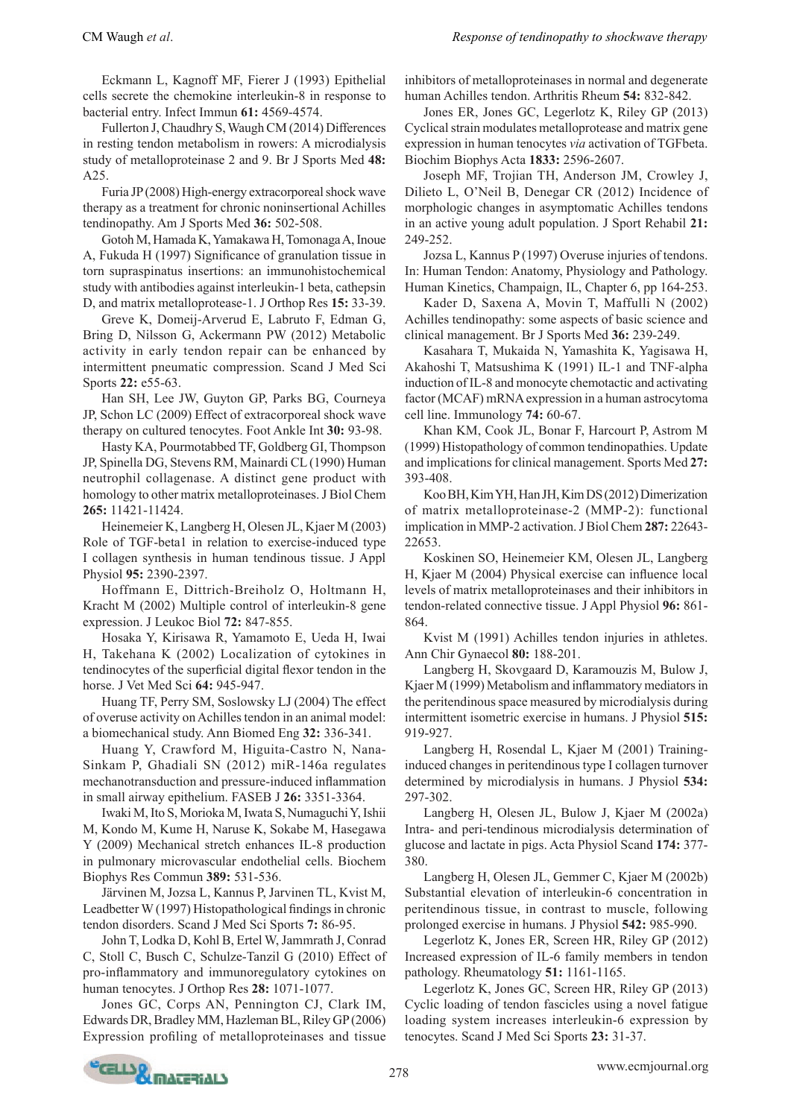Eckmann L, Kagnoff MF, Fierer J (1993) Epithelial cells secrete the chemokine interleukin-8 in response to bacterial entry. Infect Immun **61:** 4569-4574.

Fullerton J, Chaudhry S, Waugh CM (2014) Differences in resting tendon metabolism in rowers: A microdialysis study of metalloproteinase 2 and 9. Br J Sports Med **48:** A25.

Furia JP (2008) High-energy extracorporeal shock wave therapy as a treatment for chronic noninsertional Achilles tendinopathy. Am J Sports Med **36:** 502-508.

Gotoh M, Hamada K, Yamakawa H, Tomonaga A, Inoue A, Fukuda H (1997) Significance of granulation tissue in torn supraspinatus insertions: an immunohistochemical study with antibodies against interleukin-1 beta, cathepsin D, and matrix metalloprotease-1. J Orthop Res **15:** 33-39.

Greve K, Domeij-Arverud E, Labruto F, Edman G, Bring D, Nilsson G, Ackermann PW (2012) Metabolic activity in early tendon repair can be enhanced by intermittent pneumatic compression. Scand J Med Sci Sports **22:** e55-63.

Han SH, Lee JW, Guyton GP, Parks BG, Courneya JP, Schon LC (2009) Effect of extracorporeal shock wave therapy on cultured tenocytes. Foot Ankle Int **30:** 93-98.

Hasty KA, Pourmotabbed TF, Goldberg GI, Thompson JP, Spinella DG, Stevens RM, Mainardi CL (1990) Human neutrophil collagenase. A distinct gene product with homology to other matrix metalloproteinases. J Biol Chem **265:** 11421-11424.

Heinemeier K, Langberg H, Olesen JL, Kjaer M (2003) Role of TGF-beta1 in relation to exercise-induced type I collagen synthesis in human tendinous tissue. J Appl Physiol **95:** 2390-2397.

Hoffmann E, Dittrich-Breiholz O, Holtmann H, Kracht M (2002) Multiple control of interleukin-8 gene expression. J Leukoc Biol **72:** 847-855.

Hosaka Y, Kirisawa R, Yamamoto E, Ueda H, Iwai H, Takehana K (2002) Localization of cytokines in tendinocytes of the superficial digital flexor tendon in the horse. J Vet Med Sci **64:** 945-947.

Huang TF, Perry SM, Soslowsky LJ (2004) The effect of overuse activity on Achilles tendon in an animal model: a biomechanical study. Ann Biomed Eng **32:** 336-341.

Huang Y, Crawford M, Higuita-Castro N, Nana-Sinkam P, Ghadiali SN (2012) miR-146a regulates mechanotransduction and pressure-induced inflammation in small airway epithelium. FASEB J **26:** 3351-3364.

Iwaki M, Ito S, Morioka M, Iwata S, Numaguchi Y, Ishii M, Kondo M, Kume H, Naruse K, Sokabe M, Hasegawa Y (2009) Mechanical stretch enhances IL-8 production in pulmonary microvascular endothelial cells. Biochem Biophys Res Commun **389:** 531-536.

Järvinen M, Jozsa L, Kannus P, Jarvinen TL, Kvist M, Leadbetter W (1997) Histopathological findings in chronic tendon disorders. Scand J Med Sci Sports **7:** 86-95.

John T, Lodka D, Kohl B, Ertel W, Jammrath J, Conrad C, Stoll C, Busch C, Schulze-Tanzil G (2010) Effect of pro-inflammatory and immunoregulatory cytokines on human tenocytes. J Orthop Res **28:** 1071-1077.

Jones GC, Corps AN, Pennington CJ, Clark IM, Edwards DR, Bradley MM, Hazleman BL, Riley GP (2006) Expression profiling of metalloproteinases and tissue inhibitors of metalloproteinases in normal and degenerate human Achilles tendon. Arthritis Rheum **54:** 832-842.

Jones ER, Jones GC, Legerlotz K, Riley GP (2013) Cyclical strain modulates metalloprotease and matrix gene expression in human tenocytes *via* activation of TGFbeta. Biochim Biophys Acta **1833:** 2596-2607.

Joseph MF, Trojian TH, Anderson JM, Crowley J, Dilieto L, O'Neil B, Denegar CR (2012) Incidence of morphologic changes in asymptomatic Achilles tendons in an active young adult population. J Sport Rehabil **21:** 249-252.

Jozsa L, Kannus P (1997) Overuse injuries of tendons. In: Human Tendon: Anatomy, Physiology and Pathology. Human Kinetics, Champaign, IL, Chapter 6, pp 164-253.

Kader D, Saxena A, Movin T, Maffulli N (2002) Achilles tendinopathy: some aspects of basic science and clinical management. Br J Sports Med **36:** 239-249.

Kasahara T, Mukaida N, Yamashita K, Yagisawa H, Akahoshi T, Matsushima K (1991) IL-1 and TNF-alpha induction of IL-8 and monocyte chemotactic and activating factor (MCAF) mRNA expression in a human astrocytoma cell line. Immunology **74:** 60-67.

Khan KM, Cook JL, Bonar F, Harcourt P, Astrom M (1999) Histopathology of common tendinopathies. Update and implications for clinical management. Sports Med **27:**  393-408.

Koo BH, Kim YH, Han JH, Kim DS (2012) Dimerization of matrix metalloproteinase-2 (MMP-2): functional implication in MMP-2 activation. J Biol Chem **287:** 22643- 22653.

Koskinen SO, Heinemeier KM, Olesen JL, Langberg H, Kjaer M (2004) Physical exercise can influence local levels of matrix metalloproteinases and their inhibitors in tendon-related connective tissue. J Appl Physiol **96:** 861- 864.

Kvist M (1991) Achilles tendon injuries in athletes. Ann Chir Gynaecol **80:** 188-201.

Langberg H, Skovgaard D, Karamouzis M, Bulow J, Kjaer M (1999) Metabolism and inflammatory mediators in the peritendinous space measured by microdialysis during intermittent isometric exercise in humans. J Physiol **515:** 919-927.

Langberg H, Rosendal L, Kjaer M (2001) Traininginduced changes in peritendinous type I collagen turnover determined by microdialysis in humans. J Physiol **534:** 297-302.

Langberg H, Olesen JL, Bulow J, Kjaer M (2002a) Intra- and peri-tendinous microdialysis determination of glucose and lactate in pigs. Acta Physiol Scand **174:** 377- 380.

Langberg H, Olesen JL, Gemmer C, Kjaer M (2002b) Substantial elevation of interleukin-6 concentration in peritendinous tissue, in contrast to muscle, following prolonged exercise in humans. J Physiol **542:** 985-990.

Legerlotz K, Jones ER, Screen HR, Riley GP (2012) Increased expression of IL-6 family members in tendon pathology. Rheumatology **51:** 1161-1165.

Legerlotz K, Jones GC, Screen HR, Riley GP (2013) Cyclic loading of tendon fascicles using a novel fatigue loading system increases interleukin-6 expression by tenocytes. Scand J Med Sci Sports **23:** 31-37.

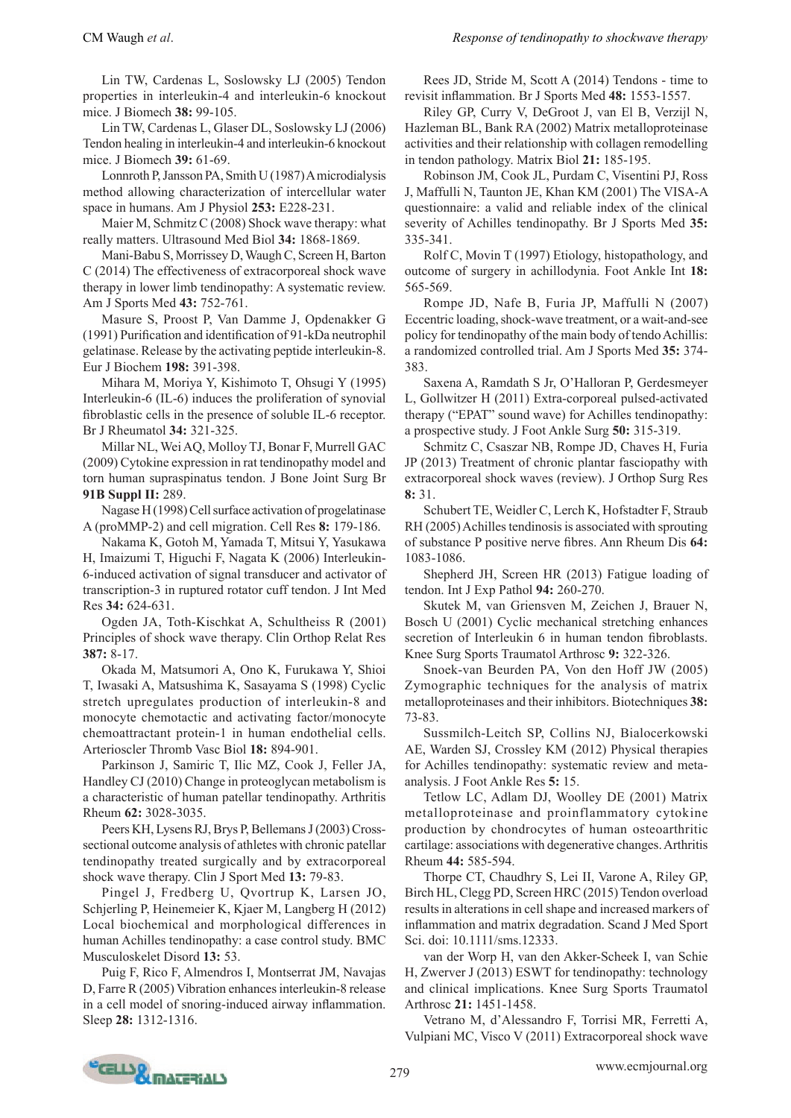Lin TW, Cardenas L, Soslowsky LJ (2005) Tendon properties in interleukin-4 and interleukin-6 knockout mice. J Biomech **38:** 99-105.

Lin TW, Cardenas L, Glaser DL, Soslowsky LJ (2006) Tendon healing in interleukin-4 and interleukin-6 knockout mice. J Biomech **39:** 61-69.

Lonnroth P, Jansson PA, Smith U (1987) A microdialysis method allowing characterization of intercellular water space in humans. Am J Physiol **253:** E228-231.

Maier M, Schmitz C (2008) Shock wave therapy: what really matters. Ultrasound Med Biol **34:** 1868-1869.

Mani-Babu S, Morrissey D, Waugh C, Screen H, Barton C (2014) The effectiveness of extracorporeal shock wave therapy in lower limb tendinopathy: A systematic review. Am J Sports Med **43:** 752-761.

Masure S, Proost P, Van Damme J, Opdenakker G (1991) Purification and identification of 91-kDa neutrophil gelatinase. Release by the activating peptide interleukin-8. Eur J Biochem **198:** 391-398.

Mihara M, Moriya Y, Kishimoto T, Ohsugi Y (1995) Interleukin-6 (IL-6) induces the proliferation of synovial fibroblastic cells in the presence of soluble IL-6 receptor. Br J Rheumatol **34:** 321-325.

Millar NL, Wei AQ, Molloy TJ, Bonar F, Murrell GAC (2009) Cytokine expression in rat tendinopathy model and torn human supraspinatus tendon. J Bone Joint Surg Br **91B Suppl II:** 289.

Nagase H (1998) Cell surface activation of progelatinase A (proMMP-2) and cell migration. Cell Res **8:** 179-186.

Nakama K, Gotoh M, Yamada T, Mitsui Y, Yasukawa H, Imaizumi T, Higuchi F, Nagata K (2006) Interleukin-6-induced activation of signal transducer and activator of transcription-3 in ruptured rotator cuff tendon. J Int Med Res **34:** 624-631.

Ogden JA, Toth-Kischkat A, Schultheiss R (2001) Principles of shock wave therapy. Clin Orthop Relat Res **387:** 8-17.

Okada M, Matsumori A, Ono K, Furukawa Y, Shioi T, Iwasaki A, Matsushima K, Sasayama S (1998) Cyclic stretch upregulates production of interleukin-8 and monocyte chemotactic and activating factor/monocyte chemoattractant protein-1 in human endothelial cells. Arterioscler Thromb Vasc Biol **18:** 894-901.

Parkinson J, Samiric T, Ilic MZ, Cook J, Feller JA, Handley CJ (2010) Change in proteoglycan metabolism is a characteristic of human patellar tendinopathy. Arthritis Rheum **62:** 3028-3035.

Peers KH, Lysens RJ, Brys P, Bellemans J (2003) Crosssectional outcome analysis of athletes with chronic patellar tendinopathy treated surgically and by extracorporeal shock wave therapy. Clin J Sport Med **13:** 79-83.

Pingel J, Fredberg U, Qvortrup K, Larsen JO, Schjerling P, Heinemeier K, Kjaer M, Langberg H (2012) Local biochemical and morphological differences in human Achilles tendinopathy: a case control study. BMC Musculoskelet Disord **13:** 53.

Puig F, Rico F, Almendros I, Montserrat JM, Navajas D, Farre R (2005) Vibration enhances interleukin-8 release in a cell model of snoring-induced airway inflammation. Sleep **28:** 1312-1316.

Rees JD, Stride M, Scott A (2014) Tendons - time to revisit inflammation. Br J Sports Med **48:** 1553-1557.

Riley GP, Curry V, DeGroot J, van El B, Verzijl N, Hazleman BL, Bank RA (2002) Matrix metalloproteinase activities and their relationship with collagen remodelling in tendon pathology. Matrix Biol **21:** 185-195.

Robinson JM, Cook JL, Purdam C, Visentini PJ, Ross J, Maffulli N, Taunton JE, Khan KM (2001) The VISA-A questionnaire: a valid and reliable index of the clinical severity of Achilles tendinopathy. Br J Sports Med **35:**  335-341.

Rolf C, Movin T (1997) Etiology, histopathology, and outcome of surgery in achillodynia. Foot Ankle Int **18:**  565-569.

Rompe JD, Nafe B, Furia JP, Maffulli N (2007) Eccentric loading, shock-wave treatment, or a wait-and-see policy for tendinopathy of the main body of tendo Achillis: a randomized controlled trial. Am J Sports Med **35:** 374- 383.

Saxena A, Ramdath S Jr, O'Halloran P, Gerdesmeyer L, Gollwitzer H (2011) Extra-corporeal pulsed-activated therapy ("EPAT" sound wave) for Achilles tendinopathy: a prospective study. J Foot Ankle Surg **50:** 315-319.

Schmitz C, Csaszar NB, Rompe JD, Chaves H, Furia JP (2013) Treatment of chronic plantar fasciopathy with extracorporeal shock waves (review). J Orthop Surg Res **8:** 31.

Schubert TE, Weidler C, Lerch K, Hofstadter F, Straub RH (2005) Achilles tendinosis is associated with sprouting of substance P positive nerve fibres. Ann Rheum Dis **64:**  1083-1086.

Shepherd JH, Screen HR (2013) Fatigue loading of tendon. Int J Exp Pathol **94:** 260-270.

Skutek M, van Griensven M, Zeichen J, Brauer N, Bosch U (2001) Cyclic mechanical stretching enhances secretion of Interleukin 6 in human tendon fibroblasts. Knee Surg Sports Traumatol Arthrosc **9:** 322-326.

Snoek-van Beurden PA, Von den Hoff JW (2005) Zymographic techniques for the analysis of matrix metalloproteinases and their inhibitors. Biotechniques **38:** 73-83.

Sussmilch-Leitch SP, Collins NJ, Bialocerkowski AE, Warden SJ, Crossley KM (2012) Physical therapies for Achilles tendinopathy: systematic review and metaanalysis. J Foot Ankle Res **5:** 15.

Tetlow LC, Adlam DJ, Woolley DE (2001) Matrix metalloproteinase and proinflammatory cytokine production by chondrocytes of human osteoarthritic cartilage: associations with degenerative changes. Arthritis Rheum **44:** 585-594.

Thorpe CT, Chaudhry S, Lei II, Varone A, Riley GP, Birch HL, Clegg PD, Screen HRC (2015) Tendon overload results in alterations in cell shape and increased markers of inflammation and matrix degradation. Scand J Med Sport Sci. doi: 10.1111/sms.12333.

van der Worp H, van den Akker-Scheek I, van Schie H, Zwerver J (2013) ESWT for tendinopathy: technology and clinical implications. Knee Surg Sports Traumatol Arthrosc **21:** 1451-1458.

Vetrano M, d'Alessandro F, Torrisi MR, Ferretti A, Vulpiani MC, Visco V (2011) Extracorporeal shock wave